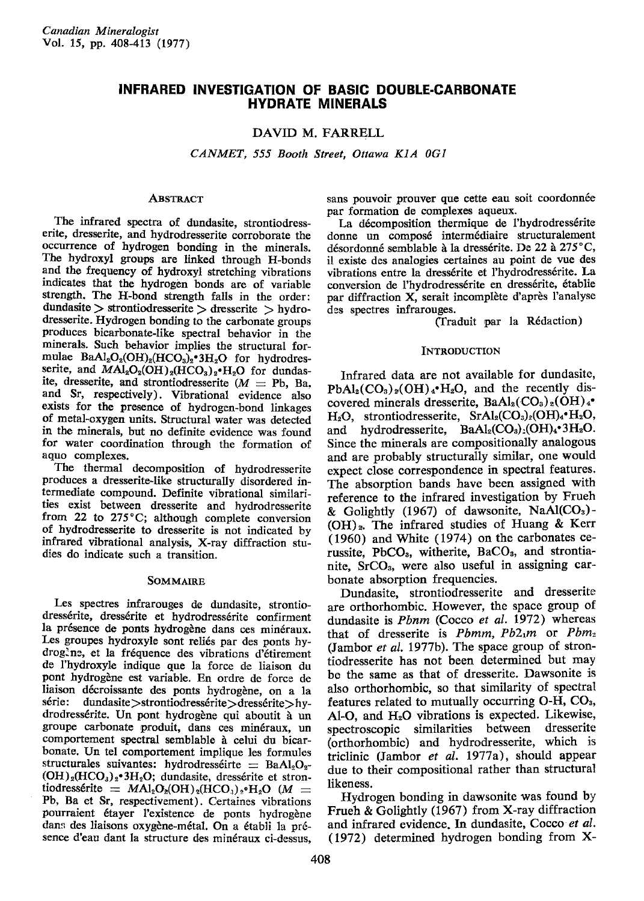# INFRARED INVESTIGATION OF BASIC DOUBLE.CARBONATE HYDRATE MINERALS

## DAVID M. FARRELL

CANMET, 555 Booth Street, Ottawa K1A 0G1

#### **ABSTRACT**

The infrared spectra of dundasite, strontiodresserite, dresserite, and hydrodresserite corroborate the occurrence of hydrogen bonding in the minerals. The hydroxyl groups are linked through H-bonds and the frequency of hydroxyl stretching vibrations indicates that the hydrogen bonds are of variable strength. The H-bond strength falls in the order:  $d$ undasite  $>$  strontiodresserite  $>$  dresserite  $>$  hydrodresserite. Hydrogen bonding to the carbonate groups produces bicarbonate-like spectral behavior in the minerals, Such behavior implies the structural formulae  $BaAl<sub>2</sub>O<sub>2</sub>(OH)<sub>2</sub>(HCO<sub>3</sub>)<sub>2</sub>°3H<sub>2</sub>O$  for hydrodresserite, and  $MAl<sub>2</sub>O<sub>2</sub>(OH)<sub>2</sub>(HCO<sub>3</sub>)<sub>2</sub>·H<sub>2</sub>O$  for dundasite, dresserite, and strontiodresserite ( $M =$  Pb, Ba. and Sr, respectively). Vibrational evidence also exists for the presence of hydrogen-bond linkages of metal-oxygen units. Structural water was detected in the minerals, but no definite evidence was found for water coordination through the formation of aquo complexes.

The thermal decomposition of hydrodresserite produces a dresserite-like structurallv disordered intermediate compound. Definite vibrational similarities exist between dresserite and hvdrodresserite from 22 to 275°C; although complete conversion of hydrodresserite to dresserite is not indicated by infrared vibrational analysis, X-ray diffraction studies do indicate such a transition.

#### SOMMAIRE

Les spectres infrarouges de dundasite, strontiodressérite, dressérite et hydrodressérite confirment la présence de ponts hydrogène dans ces minéraux. Les groupes hydroxyle sont reliés par des ponts hydrogine, et la fréquence des vibrations d'étirement de I'hydroxyle indique que la force de liaison du pont hydrogène est variable. En ordre de force de liaison décroissante des ponts hydrogène, on a la série: dundasite>strontiodressérite>dressérite>hydrodressérite. Un pont hydrogène qui aboutit à un groupe carbonate produit, dans ces min€raux, un comportement spectral semblable à celui du bicarbonate. Un tel comportement implique les formules structurales suivantes: hydrodresséirte  $=$  BaAl<sub>2</sub>O<sub>2</sub>- $(OH)_2(HCO_3)_2$ .<sup>3</sup>H<sub>2</sub>O; dundasite, dressérite et strontiodressérite =  $MAl_2O_2(OH)_2(HCO_3)_2 \cdot H_2O$  (M = Pb, Ba et Sr, respectivement). Certaines vibrations pourraient étayer l'existence de ponts hydrogène dans des liaisons oxygène-métal. On a établi la présence d'eau dant la structure des minéraux ci-dessus,

sans pouvoir prouver que cette eau soit coordonnée par formation de complexes aqueux.

La décomposition thermique de l'hydrodressérite donne un compos6 interm6diaire structuralement désordonné semblable à la dressérite. De 22 à 275 °C, il existe des analogies certaines au point de vue des vibrations entre la dressérite et l'hydrodressérite. La conversion de l'hydrodressérite en dressérite, établie par diffraction X, serait incomplète d'après l'analyse des spectres infrarouges.

Clraduit Par la R6daction)

#### INTRODUCTION

Infrared data are not available for dundasite,  $PbAl<sub>2</sub>(CO<sub>3</sub>)<sub>2</sub>(OH)<sub>4</sub>·H<sub>2</sub>O$ , and the recently discovered minerals dresserite,  $BaAl_2(CO_3)_2(OH)_4$ .  $H_2O$ , strontiodresserite, SrAl<sub>2</sub>(CO<sub>3</sub>)<sub>2</sub>(OH)<sub>4</sub> $\cdot$ H<sub>2</sub>O, and hydrodresserite,  $BaAl_2(CO_3)$ ,  $(OH)_4$ <sup>•</sup>3 $H_2O$ . Since the minerals are compositionally analogous and are probably structurally similar, one would expect close correspondence in spectral features. The absorption bands have been assigned with reference to the infrared investigation by Frueh & Golightly (1967) of dawsonite,  $NaAl(CO<sub>3</sub>)$ - $(OH)_2$ . The infrared studies of Huang & Kerr (1960) and White (1974) on the carbonates cerussite, PbCO<sub>3</sub>, witherite, BaCO<sub>3</sub>, and strontianite, SrCO<sub>3</sub>, were also useful in assigning carbonate absorption frequencies.

Dundasite, strontiodresserite and dresserite are orthorhombic. However, the space group of dundasite is Phnm (Cocco et al. 1972) whereas that of dresserite is  $Pbnm$ ,  $Pb2_1m$  or  $Pbn_2$ (Jambor et al. 1977b). The space group of strontiodresserite has not been determined but may bo the same as that of dresserite. Dawsonite is also orthorhombic, so that similarity of spectral features related to mutually occurring O-H, COs,  $Al-O$ , and  $H<sub>2</sub>O$  vibrations is expected. Likewise, spectroscopic similarities between dresserite (orthorhombic) and hydrodresserite, which is triclinic (Jambor et al. 1977a), should appear due to their compositional rather than structural likeness.

Hydrogen bonding in dawsonite was found by Frueh & Golightly (1967) from X-ray diffraction and infrared evidence. In dundasite, Cocco et aI. (1972) determined hydrogen bonding from X-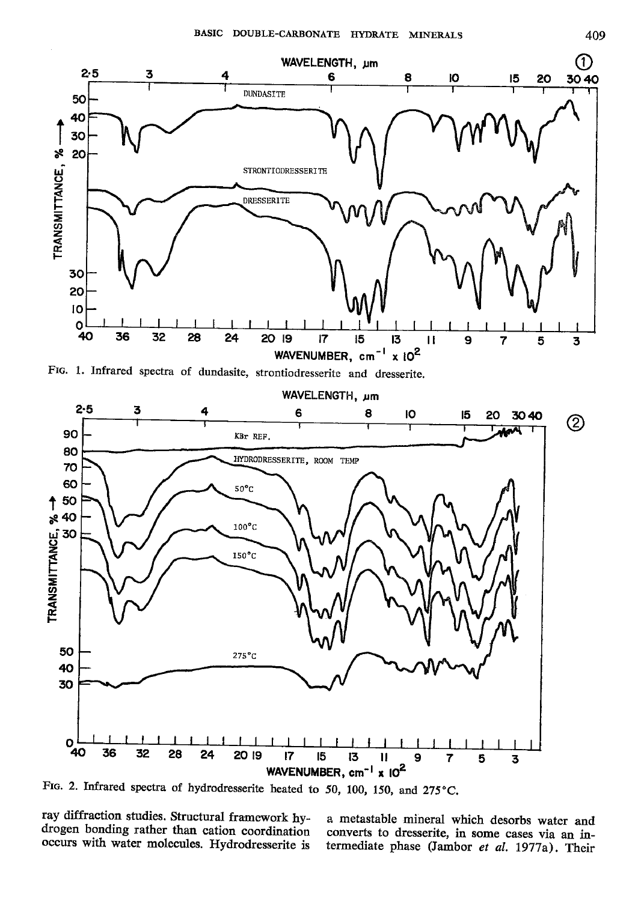



FIG. 2. Infrared spectra of hydrodresserite heated to 50, 100, 150, and 275°C.

ray diffraction studies. Structural framework hydrogen bonding rather than cation coordination occurs with water molecules. Hydrodresserite is

a metastable mineral which desorbs water and converts to dresserite, in some cases via an intermediate phase (Jambor et al. 1977a). Their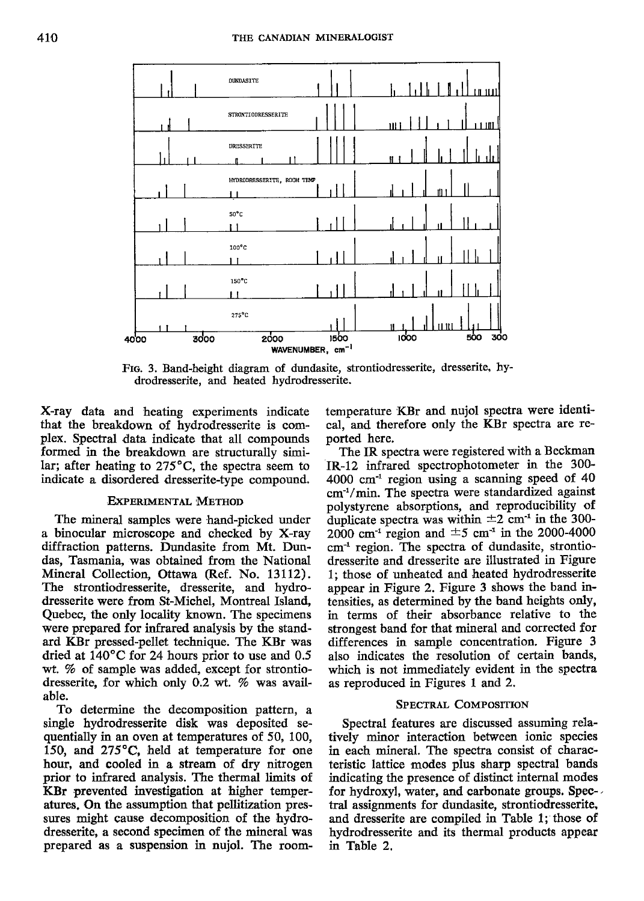

Frc. 3. Band-height diagram of dundasite, strontiodresserite, dresserite, hydrodresserite, and heated hydrodresserite.

X-ray data and heating experiments indicate that the breakdown of hydrodresserite is complex. Spectral data indicate that all compounds formed in the breakdown are structurally similar; after heating to  $275^{\circ}$ C, the spectra seem to indicate a disordered dresserite-type compound.

### EXPERIMENTAL METHOD

The mineral samples were hand-picked under a binocular microscope and checked by X-ray diffraction patterns. Dundasite from Mt. Dundas, Tasmania, was obtained from the National Mineral Collection, Ottawa (Ref. No. 13112). The strontiodresserite, dresserite, and hydrodresserite were from St-Michel, Montreal Island, Quebec, the only locality known. The specimens were prepared for infrared analysis by the standard KBr pressed-pellet technique. The KBr was dried at 140'C for 24 hours prior to use and 0.5 wt. % of sample was added, except for strontiodresserite, for which only  $0.2$  wt.  $%$  was available.

To determine the decomposition pattern, a single hydrodresserite disk was deposited sequentially in an oven at temperatures of 50, 100, 150, and  $275^{\circ}$ C, held at temperature for one hour, and cooled in a stream of dry nitrogen prior to infrared analysis. The thermal limits of KBr prevented investigation at higher temperatures. On the assumption that pellitization pressures might cause decomposition of the hydrodresserite, a second specimen of the mineral was prepared as a suspension in nujol. The roomtemperature KBr and nujol spectra were identical, and therefore only the KBr spectra are reported here.

The IR spectra were registered with a Beckman IR-12 infrared spectrophotometer in the 300- 4000 cm'l region using a scanning speed of 40  $cm<sup>-1</sup>/min$ . The spectra were standardized against polystyrene absorptions, and reproducibility of duplicate spectra was within  $\pm 2$  cm<sup>-1</sup> in the 300-2000 cm<sup>-1</sup> region and  $\pm$ 5 cm<sup>-1</sup> in the 2000-4000 cm-l region. The spectra of dundasite, strontiodresserite and dresserite are illustrated in Figure 1; those of unheated and heated hydrodresserite appear in Figure 2. Figure 3 shows the band intensities, as determined by the band heights only, in terms of their absorbance relative to the strongest band for that mineral and corrected for differences in sample concentration. Figure 3 also indicates the resolution of certain bands, which is not immediately evident in the spectra as reproduced in Figures 1 and 2.

## SPECTRAL COMPOSITION

Spectral features are discussed assuming relatively minor interaction between ionic species in each mineral. The spectra consist of characteristic lattice modes plus sharp spectral bands indicating the presence of distinct internal modes for hydroxyl, water, and carbonate groups. Spectral assignments for dundasite, strontiodresserite, and dresserite are compiled in Table 1; those of hydrodresserite and its thermal products appear in Table 2.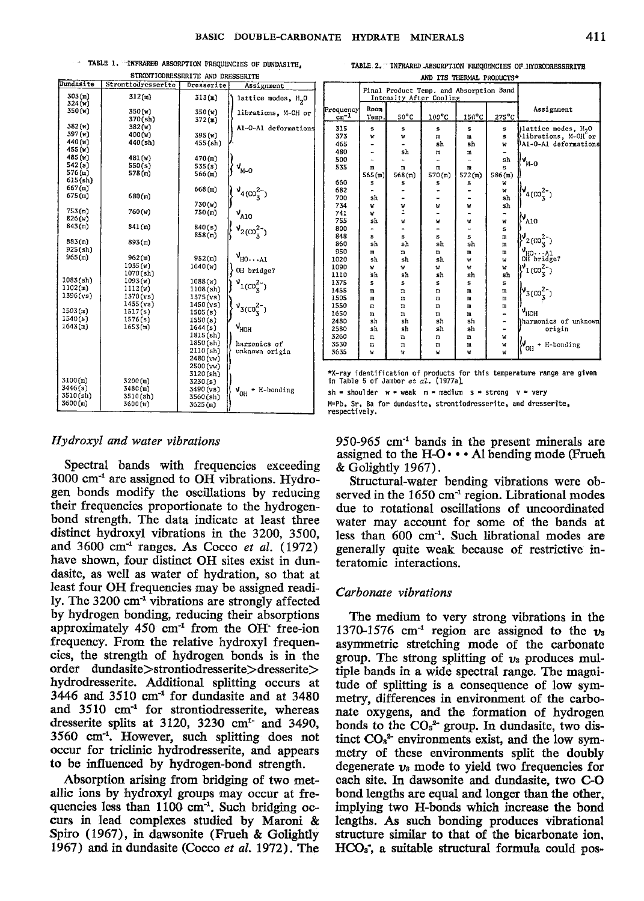" TABLE 1. INFRARED ABSORPTION FREQUENCIES OF DUNDASITE. TODORROPOTE UM BERGARD

| 303(m)<br>312(m)<br>313(m)<br>lattice modes, H <sub>2</sub> 0<br>324(w)<br>350(w)<br>350(w)<br>350(w)<br>librations, M-OH or<br>370(sh)<br>372(m)<br>382(w)<br>382(w)<br>A1-0-A1 deformations<br>397 (w)<br>400(w)<br>395 (w)<br>440(w)<br>440(sh)<br>455(sh)<br>455(w)<br>485 (w)<br>481 (w)<br>470(m)<br>542(s)<br>550(s)<br>535(s)<br>ง<br><sub>M-0</sub><br>576(m)<br>578(m)<br>566(m)<br>$615$ $(sh)$<br>667(m)<br>668(m)<br>$v_{4(00_{5}^{2})}$<br>675(m)<br>680(m)<br>730(w)<br>753(m)<br>760(w)<br>750(m)<br>$v_{A10}$<br>826(w)<br>843(m)<br>341(m)<br>840(s)<br>$v_{2(CO_3^{2-})}$<br>858(m)<br>883(m)<br>893(m)<br>925(sh)<br>$v_{H0\cdots A1}$<br>965(m)<br>962(m)<br>952(m)<br>1035(w)<br>1040(w)<br>OH bridge?<br>1070(sh)<br>$1083({\rm sh})$<br>1093(w)<br>1088(w)<br>$v_{1(C0_3^{2-})}$<br>1102(m)<br>1112(w)<br>$1108$ $(sh)$<br>1396(ys)<br>1370(ys)<br>1375(vs)<br>1455(ys)<br>1450(ys)<br>$v_{3(00_3^2^-)}$<br>1503(m)<br>1517(s)<br>1505(s)<br>1540(s)<br>1576(s)<br>1550(s)<br>1643(n)<br>$\gamma_{HOH}$<br>1653(m)<br>1644(s)<br>1815(sh)<br>1850(sh)<br>harmonics of<br>2110(sh)<br>unknown origin<br>2480 (vw)<br>2500(vw)<br>3120(sh)<br>3100(m)<br>3200(m)<br>3230(s)<br>3446(s)<br>3480(m)<br>3490(vs)<br>+ H-bonding<br>$v_{\rm off}$<br>3510(sh)<br>3510(sh)<br>3560(sh)<br>3600(m)<br>3600(w)<br>3625(m) | Dundasite | SIKWAIIODKGOOGKIJE AND DRESSEKIIE |            |            |
|------------------------------------------------------------------------------------------------------------------------------------------------------------------------------------------------------------------------------------------------------------------------------------------------------------------------------------------------------------------------------------------------------------------------------------------------------------------------------------------------------------------------------------------------------------------------------------------------------------------------------------------------------------------------------------------------------------------------------------------------------------------------------------------------------------------------------------------------------------------------------------------------------------------------------------------------------------------------------------------------------------------------------------------------------------------------------------------------------------------------------------------------------------------------------------------------------------------------------------------------------------------------------------------------------------------------------------------|-----------|-----------------------------------|------------|------------|
|                                                                                                                                                                                                                                                                                                                                                                                                                                                                                                                                                                                                                                                                                                                                                                                                                                                                                                                                                                                                                                                                                                                                                                                                                                                                                                                                          |           | Strontiodresserite                | Dresserite | Assignment |
|                                                                                                                                                                                                                                                                                                                                                                                                                                                                                                                                                                                                                                                                                                                                                                                                                                                                                                                                                                                                                                                                                                                                                                                                                                                                                                                                          |           |                                   |            |            |
|                                                                                                                                                                                                                                                                                                                                                                                                                                                                                                                                                                                                                                                                                                                                                                                                                                                                                                                                                                                                                                                                                                                                                                                                                                                                                                                                          |           |                                   |            |            |
|                                                                                                                                                                                                                                                                                                                                                                                                                                                                                                                                                                                                                                                                                                                                                                                                                                                                                                                                                                                                                                                                                                                                                                                                                                                                                                                                          |           |                                   |            |            |
|                                                                                                                                                                                                                                                                                                                                                                                                                                                                                                                                                                                                                                                                                                                                                                                                                                                                                                                                                                                                                                                                                                                                                                                                                                                                                                                                          |           |                                   |            |            |
|                                                                                                                                                                                                                                                                                                                                                                                                                                                                                                                                                                                                                                                                                                                                                                                                                                                                                                                                                                                                                                                                                                                                                                                                                                                                                                                                          |           |                                   |            |            |
|                                                                                                                                                                                                                                                                                                                                                                                                                                                                                                                                                                                                                                                                                                                                                                                                                                                                                                                                                                                                                                                                                                                                                                                                                                                                                                                                          |           |                                   |            |            |
|                                                                                                                                                                                                                                                                                                                                                                                                                                                                                                                                                                                                                                                                                                                                                                                                                                                                                                                                                                                                                                                                                                                                                                                                                                                                                                                                          |           |                                   |            |            |
|                                                                                                                                                                                                                                                                                                                                                                                                                                                                                                                                                                                                                                                                                                                                                                                                                                                                                                                                                                                                                                                                                                                                                                                                                                                                                                                                          |           |                                   |            |            |
|                                                                                                                                                                                                                                                                                                                                                                                                                                                                                                                                                                                                                                                                                                                                                                                                                                                                                                                                                                                                                                                                                                                                                                                                                                                                                                                                          |           |                                   |            |            |
|                                                                                                                                                                                                                                                                                                                                                                                                                                                                                                                                                                                                                                                                                                                                                                                                                                                                                                                                                                                                                                                                                                                                                                                                                                                                                                                                          |           |                                   |            |            |
|                                                                                                                                                                                                                                                                                                                                                                                                                                                                                                                                                                                                                                                                                                                                                                                                                                                                                                                                                                                                                                                                                                                                                                                                                                                                                                                                          |           |                                   |            |            |
|                                                                                                                                                                                                                                                                                                                                                                                                                                                                                                                                                                                                                                                                                                                                                                                                                                                                                                                                                                                                                                                                                                                                                                                                                                                                                                                                          |           |                                   |            |            |
|                                                                                                                                                                                                                                                                                                                                                                                                                                                                                                                                                                                                                                                                                                                                                                                                                                                                                                                                                                                                                                                                                                                                                                                                                                                                                                                                          |           |                                   |            |            |
|                                                                                                                                                                                                                                                                                                                                                                                                                                                                                                                                                                                                                                                                                                                                                                                                                                                                                                                                                                                                                                                                                                                                                                                                                                                                                                                                          |           |                                   |            |            |
|                                                                                                                                                                                                                                                                                                                                                                                                                                                                                                                                                                                                                                                                                                                                                                                                                                                                                                                                                                                                                                                                                                                                                                                                                                                                                                                                          |           |                                   |            |            |
|                                                                                                                                                                                                                                                                                                                                                                                                                                                                                                                                                                                                                                                                                                                                                                                                                                                                                                                                                                                                                                                                                                                                                                                                                                                                                                                                          |           |                                   |            |            |
|                                                                                                                                                                                                                                                                                                                                                                                                                                                                                                                                                                                                                                                                                                                                                                                                                                                                                                                                                                                                                                                                                                                                                                                                                                                                                                                                          |           |                                   |            |            |
|                                                                                                                                                                                                                                                                                                                                                                                                                                                                                                                                                                                                                                                                                                                                                                                                                                                                                                                                                                                                                                                                                                                                                                                                                                                                                                                                          |           |                                   |            |            |
|                                                                                                                                                                                                                                                                                                                                                                                                                                                                                                                                                                                                                                                                                                                                                                                                                                                                                                                                                                                                                                                                                                                                                                                                                                                                                                                                          |           |                                   |            |            |
|                                                                                                                                                                                                                                                                                                                                                                                                                                                                                                                                                                                                                                                                                                                                                                                                                                                                                                                                                                                                                                                                                                                                                                                                                                                                                                                                          |           |                                   |            |            |
|                                                                                                                                                                                                                                                                                                                                                                                                                                                                                                                                                                                                                                                                                                                                                                                                                                                                                                                                                                                                                                                                                                                                                                                                                                                                                                                                          |           |                                   |            |            |
|                                                                                                                                                                                                                                                                                                                                                                                                                                                                                                                                                                                                                                                                                                                                                                                                                                                                                                                                                                                                                                                                                                                                                                                                                                                                                                                                          |           |                                   |            |            |
|                                                                                                                                                                                                                                                                                                                                                                                                                                                                                                                                                                                                                                                                                                                                                                                                                                                                                                                                                                                                                                                                                                                                                                                                                                                                                                                                          |           |                                   |            |            |
|                                                                                                                                                                                                                                                                                                                                                                                                                                                                                                                                                                                                                                                                                                                                                                                                                                                                                                                                                                                                                                                                                                                                                                                                                                                                                                                                          |           |                                   |            |            |
|                                                                                                                                                                                                                                                                                                                                                                                                                                                                                                                                                                                                                                                                                                                                                                                                                                                                                                                                                                                                                                                                                                                                                                                                                                                                                                                                          |           |                                   |            |            |
|                                                                                                                                                                                                                                                                                                                                                                                                                                                                                                                                                                                                                                                                                                                                                                                                                                                                                                                                                                                                                                                                                                                                                                                                                                                                                                                                          |           |                                   |            |            |
|                                                                                                                                                                                                                                                                                                                                                                                                                                                                                                                                                                                                                                                                                                                                                                                                                                                                                                                                                                                                                                                                                                                                                                                                                                                                                                                                          |           |                                   |            |            |
|                                                                                                                                                                                                                                                                                                                                                                                                                                                                                                                                                                                                                                                                                                                                                                                                                                                                                                                                                                                                                                                                                                                                                                                                                                                                                                                                          |           |                                   |            |            |
|                                                                                                                                                                                                                                                                                                                                                                                                                                                                                                                                                                                                                                                                                                                                                                                                                                                                                                                                                                                                                                                                                                                                                                                                                                                                                                                                          |           |                                   |            |            |
|                                                                                                                                                                                                                                                                                                                                                                                                                                                                                                                                                                                                                                                                                                                                                                                                                                                                                                                                                                                                                                                                                                                                                                                                                                                                                                                                          |           |                                   |            |            |
|                                                                                                                                                                                                                                                                                                                                                                                                                                                                                                                                                                                                                                                                                                                                                                                                                                                                                                                                                                                                                                                                                                                                                                                                                                                                                                                                          |           |                                   |            |            |
|                                                                                                                                                                                                                                                                                                                                                                                                                                                                                                                                                                                                                                                                                                                                                                                                                                                                                                                                                                                                                                                                                                                                                                                                                                                                                                                                          |           |                                   |            |            |
|                                                                                                                                                                                                                                                                                                                                                                                                                                                                                                                                                                                                                                                                                                                                                                                                                                                                                                                                                                                                                                                                                                                                                                                                                                                                                                                                          |           |                                   |            |            |
|                                                                                                                                                                                                                                                                                                                                                                                                                                                                                                                                                                                                                                                                                                                                                                                                                                                                                                                                                                                                                                                                                                                                                                                                                                                                                                                                          |           |                                   |            |            |
|                                                                                                                                                                                                                                                                                                                                                                                                                                                                                                                                                                                                                                                                                                                                                                                                                                                                                                                                                                                                                                                                                                                                                                                                                                                                                                                                          |           |                                   |            |            |
|                                                                                                                                                                                                                                                                                                                                                                                                                                                                                                                                                                                                                                                                                                                                                                                                                                                                                                                                                                                                                                                                                                                                                                                                                                                                                                                                          |           |                                   |            |            |
|                                                                                                                                                                                                                                                                                                                                                                                                                                                                                                                                                                                                                                                                                                                                                                                                                                                                                                                                                                                                                                                                                                                                                                                                                                                                                                                                          |           |                                   |            |            |
|                                                                                                                                                                                                                                                                                                                                                                                                                                                                                                                                                                                                                                                                                                                                                                                                                                                                                                                                                                                                                                                                                                                                                                                                                                                                                                                                          |           |                                   |            |            |
|                                                                                                                                                                                                                                                                                                                                                                                                                                                                                                                                                                                                                                                                                                                                                                                                                                                                                                                                                                                                                                                                                                                                                                                                                                                                                                                                          |           |                                   |            |            |
|                                                                                                                                                                                                                                                                                                                                                                                                                                                                                                                                                                                                                                                                                                                                                                                                                                                                                                                                                                                                                                                                                                                                                                                                                                                                                                                                          |           |                                   |            |            |
|                                                                                                                                                                                                                                                                                                                                                                                                                                                                                                                                                                                                                                                                                                                                                                                                                                                                                                                                                                                                                                                                                                                                                                                                                                                                                                                                          |           |                                   |            |            |

#### Hydroxyl and water vibrations

Spectral bands with frequencies exceeding 3000 cm<sup>-1</sup> are assigned to OH vibrations. Hydrogen bonds modify the oscillations by reducing their frequencies proportionate to the hydrogenbond strength. The data indicate at least three distinct hydroxyl vibrations in the 3200, 3500, and 3600 cm<sup>-1</sup> ranges. As Cocco et al.  $(1972)$ have shown, four distinct OH sites exist in dundasite, as well as water of hydration, so that at least four OH frequencies may be assigned readily. The 3200 cm<sup>-1</sup> vibrations are strongly affected by hydrogen bonding, reducing their absorptions approximately 450 cm<sup>-1</sup> from the OH free-ion frequency. From the relative hydroxyl frequencies, the strength of hydrogen bonds is in the order dundasite>strontiodresserite>dresserite> hydrodresserite. Additional splitting occurs at 3446 and 3510 cm<sup>-1</sup> for dundasite and at 3480 and 3510 cm<sup>-1</sup> for strontiodresserite, whereas dresserite splits at 3120, 3230  $cm<sup>1</sup>$  and 3490, 3560 cm<sup>-1</sup>. However, such splitting does not occur for triclinic hydrodresserite, and appears to be influenced by hydrogen-bond strength.

Absorption arising from bridging of two metallic ions by hydroxyl groups may occur at frequencies less than 1100 cm<sup>-1</sup>. Such bridging occurs in lead complexes studied by Maroni & Spiro (1967), in dawsonite (Frueh & Golightly 1967) and in dundasite (Cocco et al. 1972). The

TABLE 2. INFRARED ABSORPTION FREQUENCIES OF HYDRODRESSERITE

|           |        |                                                                    | AND IIS INCRMAL PRODUCIS" |                 |                 |                                   |
|-----------|--------|--------------------------------------------------------------------|---------------------------|-----------------|-----------------|-----------------------------------|
|           |        | Final Product Temp. and Absorption Band<br>Intensity After Cooling |                           |                 |                 |                                   |
| Frequency | Room   |                                                                    |                           |                 |                 | Assignment                        |
| $cm^{-1}$ | Temp.  | $50^{\circ}$ C                                                     | 100°C                     | $150^{\circ}$ C | $275^{\circ}$ C |                                   |
| 315       | s      | s                                                                  | S                         | s               | S               | lattice modes, H <sub>2</sub> O   |
| 373       | v      | w                                                                  | m                         | m               | s               | librations, M-OH or               |
| 465       |        |                                                                    | sh                        | sh              | W               | Al-O-Al deformations              |
| 480       |        | sh                                                                 | m                         | ш               |                 |                                   |
| 500       |        |                                                                    |                           | $\blacksquare$  | sh              | $v_{M-O}$                         |
| 535       | m      | m                                                                  | m                         | m               | Ś               |                                   |
|           | 565(m) | 568(m)                                                             | 570(m)                    | 572(m)          | 586(m)          |                                   |
| 660       | s      | S                                                                  | s                         | s               | w               |                                   |
| 682       |        |                                                                    |                           |                 | w               | $v_{4(00_{3}^{2})}$               |
| 700       | sh     |                                                                    |                           |                 | sh              |                                   |
| 734       | w      | W                                                                  | W                         | W               | sh              |                                   |
| 741       | w      | ż                                                                  |                           |                 |                 |                                   |
| 755       | sh     | W                                                                  | W                         | W               | W               | $\mathsf{P}_\mathtt{A10}$         |
| 800       |        |                                                                    |                           |                 | s               |                                   |
| 848       | s      | s                                                                  | s                         | s               | m               | $\mu_{2(CO_3^{2-})}$              |
| 860       | sh     | sh                                                                 | sh                        | sh              | m               |                                   |
| 950       | m      | m                                                                  | ш                         | m               | m               | $\frac{1}{2}$<br>OH bridge?       |
| 1020      | sh     | sh                                                                 | sh                        | Ŵ               | v               |                                   |
| 1090      | W      | w                                                                  | w                         | w               | W               |                                   |
| 1110      | sh     | sh                                                                 | sh                        | sh              | sh              | $\int_1^{\sqrt{1}} (cos^2 x)$     |
| 1375      | s      | s                                                                  | s                         | S               | s               | $\sqrt{\frac{1}{3(100_3^2)}}$     |
| 1455      | m      | $\mathbf{m}$                                                       | m                         | m               | $\mathfrak{m}$  |                                   |
| 1505      | m      | m                                                                  | ш                         | m               | m               |                                   |
| 1550      | m      | m                                                                  | m                         | $\mathbf{m}$    | m               |                                   |
| 1650      | m      | m                                                                  | m                         | m               |                 | $\rm v_{HOH}$                     |
| 2480      | sh     | sh                                                                 | sh                        | sh              |                 | harmonics of unknown              |
| 2580      | sh     | sh                                                                 | sh                        | sh              | -               | origin                            |
| 3260      | m      | m                                                                  | m                         | m               | W               |                                   |
| 3530      | m      | ш                                                                  | m                         | m               | W               | $\psi_{\text{OH}}$<br>+ H-bonding |
| 3635      | W      | W                                                                  | w                         | W               | W               |                                   |
|           |        |                                                                    |                           |                 |                 |                                   |

\*X-ray identification of products for this temperature range are given in Table 5 of Jambor et al. (1977a).

 $sh = shoulder w = weak m = medium s = strong v = very$ M=Pb, Sr, Ba for dundasite, strontiodresserite, and dresserite,

respectively.

 $950-965$  cm<sup>-1</sup> bands in the present minerals are assigned to the  $H-O \cdot A1$  bending mode (Frueh) & Golightly 1967).

Structural-water bending vibrations were observed in the 1650 cm<sup>-1</sup> region. Librational modes due to rotational oscillations of uncoordinated water may account for some of the bands at less than 600 cm<sup>-1</sup>. Such librational modes are generally quite weak because of restrictive interatomic interactions.

### Carbonate vibrations

The medium to very strong vibrations in the 1370-1576 cm<sup>-1</sup> region are assigned to the  $v_3$ asymmetric stretching mode of the carbonate group. The strong splitting of  $v_3$  produces multiple bands in a wide spectral range. The magnitude of splitting is a consequence of low symmetry, differences in environment of the carbonate oxygens, and the formation of hydrogen bonds to the  $CO<sub>3</sub><sup>2</sup>$  group. In dundasite, two distinct CO<sub>3</sub><sup>2</sup> environments exist, and the low symmetry of these environments split the doubly degenerate  $v<sub>s</sub>$  mode to yield two frequencies for each site. In dawsonite and dundasite, two C-O bond lengths are equal and longer than the other. implying two H-bonds which increase the bond lengths. As such bonding produces vibrational structure similar to that of the bicarbonate ion,  $HCO<sub>3</sub>$ , a suitable structural formula could pos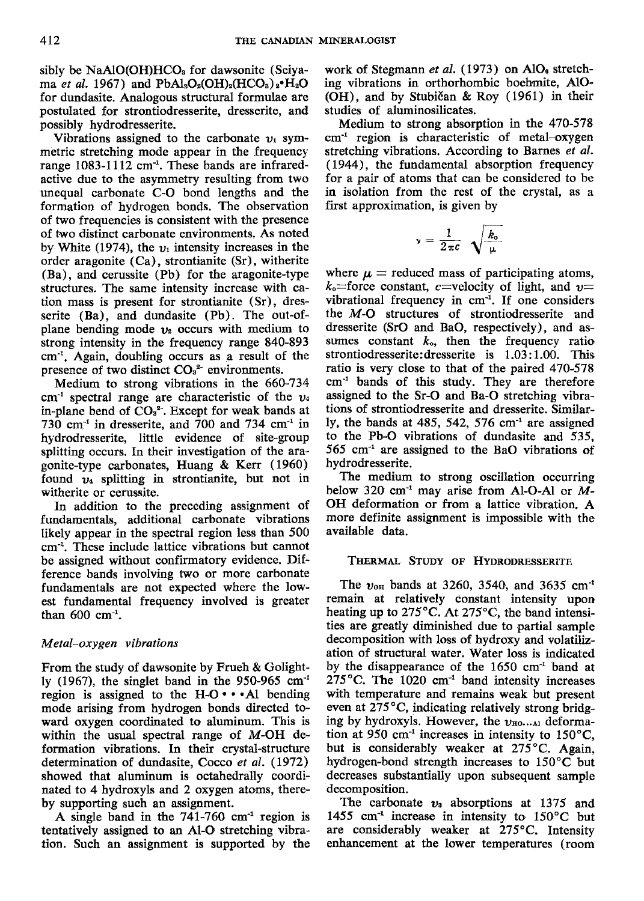sibly be  $NaAlO(OH)HCO<sub>s</sub>$  for dawsonite (Seiyama et al. 1967) and  $PbAl<sub>2</sub>O<sub>2</sub>(OH)<sub>2</sub>(HCO<sub>3</sub>)<sub>2</sub>·H<sub>2</sub>O$ for dundasite. Analogous structural formulae are postulated for strontiodresserite, dresserite, and possibly hydrodresserite.

Vibrations assigned to the carbonate  $v_1$  symmetric stretching mode appear in the frequency range  $1083-1112$  cm<sup>-1</sup>. These bands are infraredactive due to the asymmetry resulting from two unequal carbonate C-O bond lengths and the formation of hydrogen bonds. The observation of two frequencies is consistent with the presence of two distinct carbonate environments. As noted by White (1974), the  $v_1$  intensity increases in the order aragonite (Ca), strontianite (Sr), witherite (Ba), and cerussite (Pb) for the aragonite-type structures. The same intensity increase with cation mass is present for strontianite (Sr), dresserite (Ba), and dundasite (Pb). The out-ofplane bending mode  $v_2$  occurs with medium to strong intensity in the frequency range 840-893 cm<sup>-1</sup>. Again, doubling occurs as a result of the presence of two distinct  $CO<sub>3</sub><sup>2-</sup>$  environments.

Medium to strong vibrations in the 660-734 cm<sup>-1</sup> spectral range are characteristic of the  $v_4$ in-plane bend of  $CO<sub>3</sub><sup>2</sup>$ . Except for weak bands at 730 cm<sup>-1</sup> in dresserite, and 700 and 734 cm<sup>-1</sup> in hydrodresserite, little evidence of site-group splitting occurs. In their investigation of the aragonite-type carbonates, Huang & Kerr (1960) found  $v_4$  splitting in strontianite, but not in witherite or cerussite.

In addition to the preceding assignment of fundamentals, additional carbonate vibrations likely appear in the spectral region less than 500 cm-1. These include lattice vibrations but cannot be assigned without confirmatory evidence. Ditference bands involving two or more carbonate fundamentals are not expected where the lowest fundamental frequency involved is greater than  $600 \text{ cm}^{-1}$ .

## M etal-oxygen vibrations

From the study of dawsonite by Frueh & Golightly (1967), the singlet band in the  $950-965$  cm<sup>-1</sup> region is assigned to the  $H-O \cdot A$ l bending mode arising from hydrogen bonds directed toward oxygen coordinated to aluminum. This is within the usual spectral range of M-OH deformation vibrations. In their crystal-structure determination of dundasite, Cocco et al. (1972) showed that aluminum is octahedrally coordinated to 4 hydroxyls and 2 oxygen atoms, thereby supporting such an assipment.

A single band in the  $741-760$  cm<sup>-1</sup> region is tentatively assiped to an A1-O stretching vibration. Such an assignment is supported by the work of Stegmann et al. (1973) on  $AlO<sub>6</sub>$  stretching vibrations in orthorhombic boehmite, AlO- (OH), and by Stubidan & Roy (1961) in their studies of aluminosilicates.

Medium to strong absorption in the 470-578  $cm<sup>-1</sup>$  region is characteristic of metal-oxygen stretching vibrations. According to Barnes et al. (1944), the fundamental absorption frequency for a pair of atoms that can be considered to be in isolation from the rest of the crystal, as a first approximation, is given by

$$
\nu = \frac{1}{2\pi c} \sqrt{\frac{k_o}{\mu}}
$$

where  $\mu$  = reduced mass of participating atoms,  $k_0$ =force constant, c=velocity of light, and  $\nu$ = vibrational frequency in  $cm<sup>-1</sup>$ . If one considers the  $M$ -O structures of strontiodresserite and dresserite (SrO and BaO, respectively), and assumes constant  $k_0$ , then the frequency ratio strontiodresserite: dresserite is 1.03:1.00. This ratio is very close to that of the paired 470-578 cm-' bands of this study. They are therefore assigned to the Sr-O and Ba-O stretching vibrations of strontiodresserite and dresserite. Similarly, the bands at  $485$ ,  $542$ ,  $576$  cm<sup>-1</sup> are assigned to the Pb-O vibrations of dundasite and 535. 565 cm-' are assigned to the BaO vibrations of hydrodresserite.

The medium to strong oscillation occurring below 320  $cm<sup>-1</sup>$  may arise from Al-O-Al or M-OH deformation or from a lattice vibration. A more definite assignment is impossible with the available data.

## THERMAL STUDY OF HYDRODRESSERITE

The  $v_{\text{on}}$  bands at 3260, 3540, and 3635 cm<sup>-t</sup> remain at relatively constant intensity upon heating up to 275°C. At 275°C, the band intensities are gfeatly diminished due to partial sample decomposition with loss of hydroxy and volatilization of structural water. Water loss is indicated by the disappearance of the  $1650 \text{ cm}^{-1}$  band at  $275^{\circ}$ C. The 1020 cm<sup>-1</sup> band intensity increases with temperature and remains weak but present even at 275°C, indicating relatively strong bridging by hydroxyls. However, the  $v_{\text{HO}}$ ...ar deformation at 950 cm<sup>-1</sup> increases in intensity to  $150^{\circ}$ C, but is considerably weaker at 275°C. Again, hydrogen-bond strength increases to 150"C but decreases substantially upon subsequent sample decomposition.

The carbonate  $v_3$  absorptions at 1375 and 1455 cm<sup>-1</sup> increase in intensity to  $150^{\circ}$ C but are considerably weaker at  $275^{\circ}$ C. Intensity enhancement at the lower temperatures (roorn